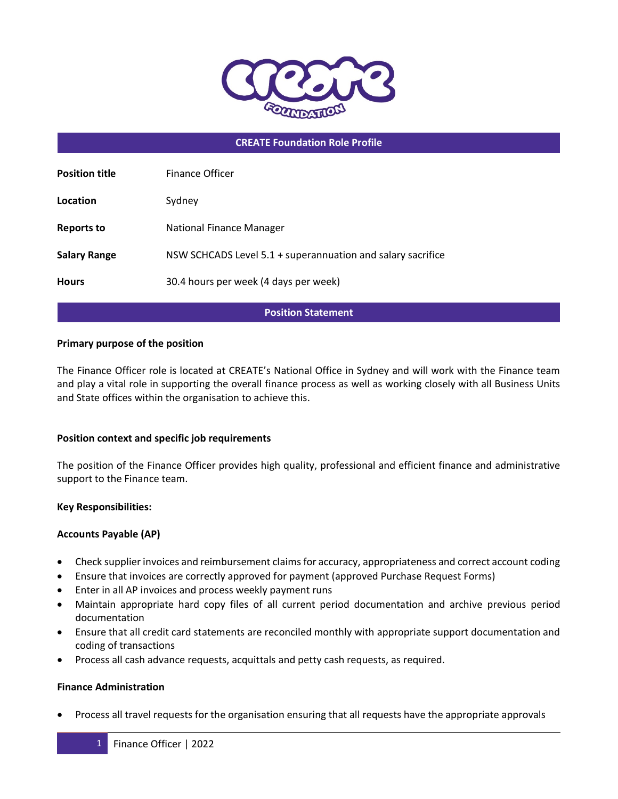

## **CREATE Foundation Role Profile**

| <b>Position title</b> | Finance Officer                                             |
|-----------------------|-------------------------------------------------------------|
| Location              | Sydney                                                      |
| <b>Reports to</b>     | National Finance Manager                                    |
| <b>Salary Range</b>   | NSW SCHCADS Level 5.1 + superannuation and salary sacrifice |
| <b>Hours</b>          | 30.4 hours per week (4 days per week)                       |

### **Position Statement**

### **Primary purpose of the position**

The Finance Officer role is located at CREATE's National Office in Sydney and will work with the Finance team and play a vital role in supporting the overall finance process as well as working closely with all Business Units and State offices within the organisation to achieve this.

### **Position context and specific job requirements**

The position of the Finance Officer provides high quality, professional and efficient finance and administrative support to the Finance team.

### **Key Responsibilities:**

### **Accounts Payable (AP)**

- Check supplier invoices and reimbursement claims for accuracy, appropriateness and correct account coding
- Ensure that invoices are correctly approved for payment (approved Purchase Request Forms)
- Enter in all AP invoices and process weekly payment runs
- Maintain appropriate hard copy files of all current period documentation and archive previous period documentation
- Ensure that all credit card statements are reconciled monthly with appropriate support documentation and coding of transactions
- Process all cash advance requests, acquittals and petty cash requests, as required.

### **Finance Administration**

• Process all travel requests for the organisation ensuring that all requests have the appropriate approvals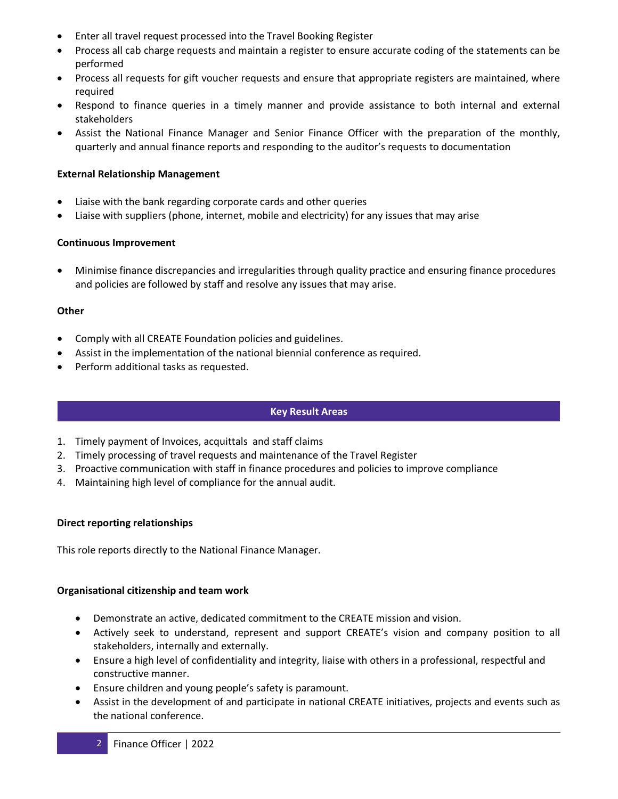- Enter all travel request processed into the Travel Booking Register
- Process all cab charge requests and maintain a register to ensure accurate coding of the statements can be performed
- Process all requests for gift voucher requests and ensure that appropriate registers are maintained, where required
- Respond to finance queries in a timely manner and provide assistance to both internal and external stakeholders
- Assist the National Finance Manager and Senior Finance Officer with the preparation of the monthly, quarterly and annual finance reports and responding to the auditor's requests to documentation

# **External Relationship Management**

- Liaise with the bank regarding corporate cards and other queries
- Liaise with suppliers (phone, internet, mobile and electricity) for any issues that may arise

# **Continuous Improvement**

• Minimise finance discrepancies and irregularities through quality practice and ensuring finance procedures and policies are followed by staff and resolve any issues that may arise.

# **Other**

- Comply with all CREATE Foundation policies and guidelines.
- Assist in the implementation of the national biennial conference as required.
- Perform additional tasks as requested.

## **Key Result Areas**

- 1. Timely payment of Invoices, acquittals and staff claims
- 2. Timely processing of travel requests and maintenance of the Travel Register
- 3. Proactive communication with staff in finance procedures and policies to improve compliance
- 4. Maintaining high level of compliance for the annual audit.

## **Direct reporting relationships**

This role reports directly to the National Finance Manager.

## **Organisational citizenship and team work**

- Demonstrate an active, dedicated commitment to the CREATE mission and vision.
- Actively seek to understand, represent and support CREATE's vision and company position to all stakeholders, internally and externally.
- Ensure a high level of confidentiality and integrity, liaise with others in a professional, respectful and constructive manner.
- Ensure children and young people's safety is paramount.
- Assist in the development of and participate in national CREATE initiatives, projects and events such as the national conference.